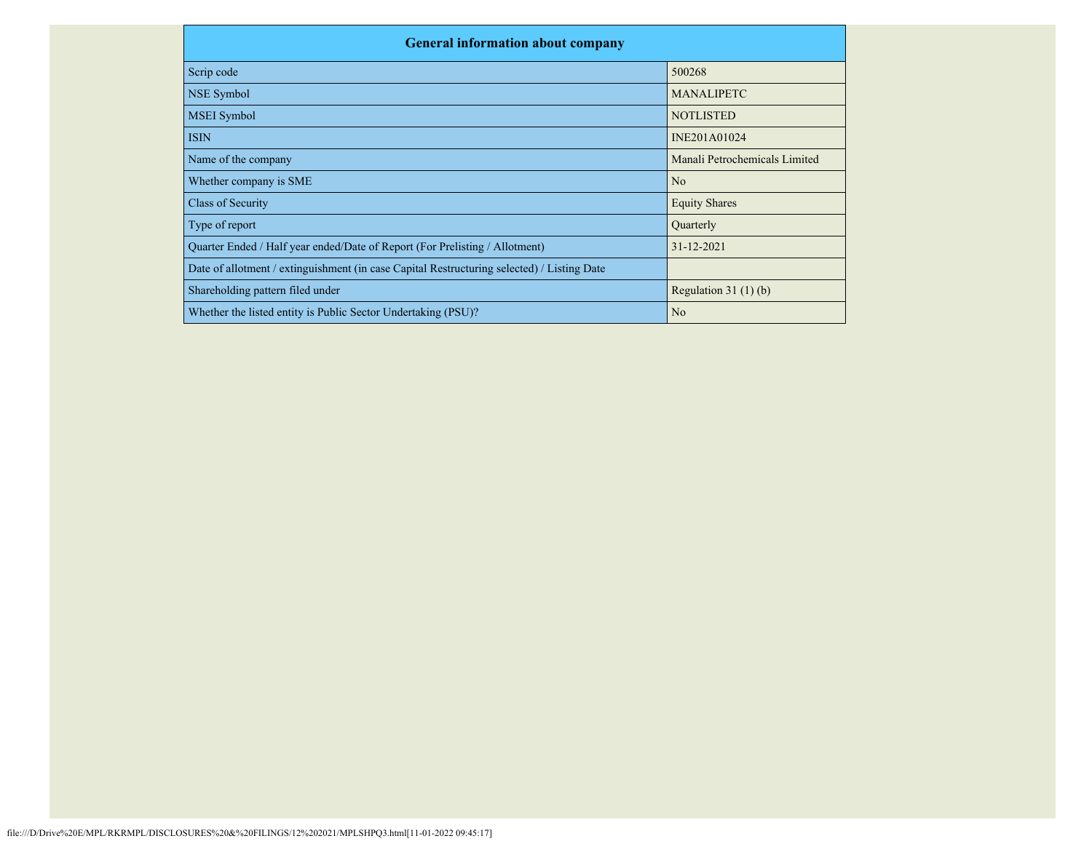| <b>General information about company</b>                                                   |                               |
|--------------------------------------------------------------------------------------------|-------------------------------|
| Scrip code                                                                                 | 500268                        |
| NSE Symbol                                                                                 | <b>MANALIPETC</b>             |
| <b>MSEI</b> Symbol                                                                         | <b>NOTLISTED</b>              |
| <b>ISIN</b>                                                                                | INE201A01024                  |
| Name of the company                                                                        | Manali Petrochemicals Limited |
| Whether company is SME                                                                     | N <sub>o</sub>                |
| Class of Security                                                                          | <b>Equity Shares</b>          |
| Type of report                                                                             | Quarterly                     |
| Quarter Ended / Half year ended/Date of Report (For Prelisting / Allotment)                | 31-12-2021                    |
| Date of allotment / extinguishment (in case Capital Restructuring selected) / Listing Date |                               |
| Shareholding pattern filed under                                                           | Regulation $31(1)(b)$         |
| Whether the listed entity is Public Sector Undertaking (PSU)?                              | N <sub>o</sub>                |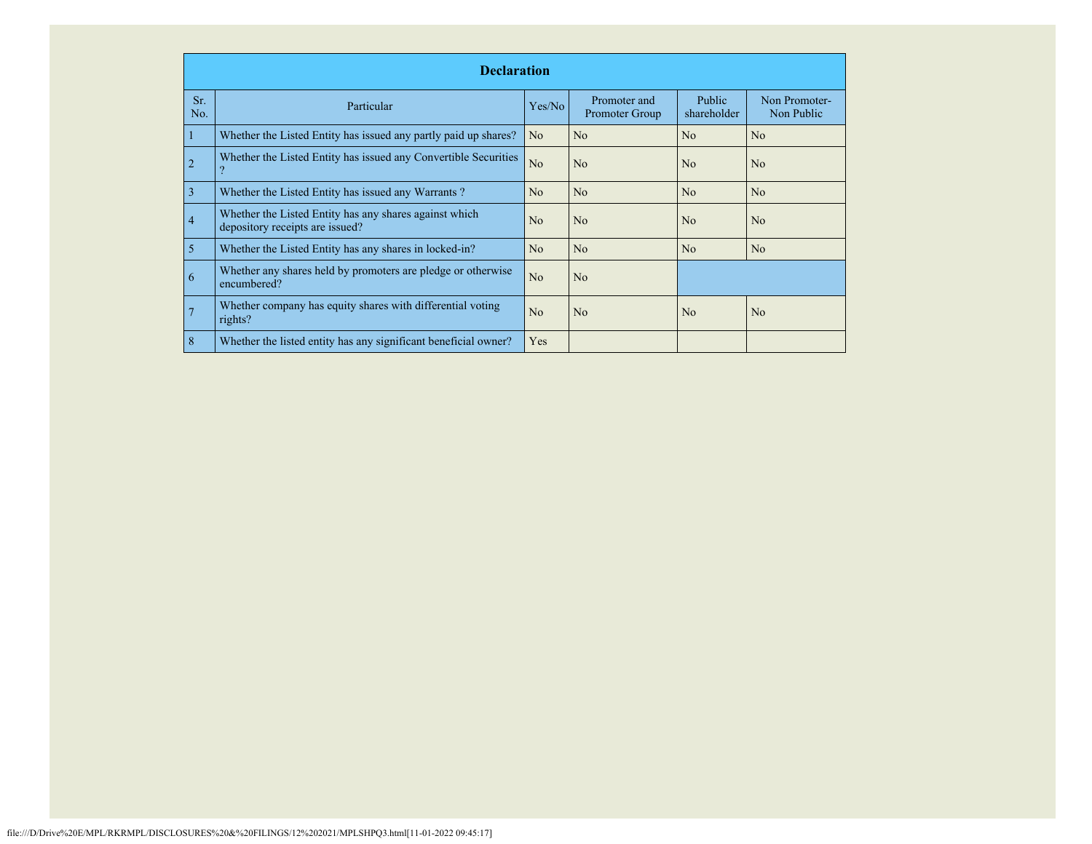|            | <b>Declaration</b>                                                                        |                |                                |                              |                             |  |  |  |  |  |
|------------|-------------------------------------------------------------------------------------------|----------------|--------------------------------|------------------------------|-----------------------------|--|--|--|--|--|
| Sr.<br>No. | Particular                                                                                | Yes/No         | Promoter and<br>Promoter Group | <b>Public</b><br>shareholder | Non Promoter-<br>Non Public |  |  |  |  |  |
|            | Whether the Listed Entity has issued any partly paid up shares?                           | N <sub>o</sub> | N <sub>o</sub>                 | No                           | N <sub>o</sub>              |  |  |  |  |  |
| 2          | Whether the Listed Entity has issued any Convertible Securities                           | No             | N <sub>o</sub>                 | No                           | N <sub>o</sub>              |  |  |  |  |  |
| 3          | Whether the Listed Entity has issued any Warrants?                                        | N <sub>o</sub> | N <sub>o</sub>                 | No                           | N <sub>o</sub>              |  |  |  |  |  |
| 4          | Whether the Listed Entity has any shares against which<br>depository receipts are issued? | No             | N <sub>o</sub>                 | No                           | N <sub>o</sub>              |  |  |  |  |  |
| 5          | Whether the Listed Entity has any shares in locked-in?                                    | No             | N <sub>o</sub>                 | N <sub>o</sub>               | N <sub>o</sub>              |  |  |  |  |  |
| 6          | Whether any shares held by promoters are pledge or otherwise<br>encumbered?               | No             | No                             |                              |                             |  |  |  |  |  |
|            | Whether company has equity shares with differential voting<br>rights?                     | N <sub>o</sub> | N <sub>o</sub>                 | No                           | N <sub>o</sub>              |  |  |  |  |  |
| 8          | Whether the listed entity has any significant beneficial owner?                           | Yes            |                                |                              |                             |  |  |  |  |  |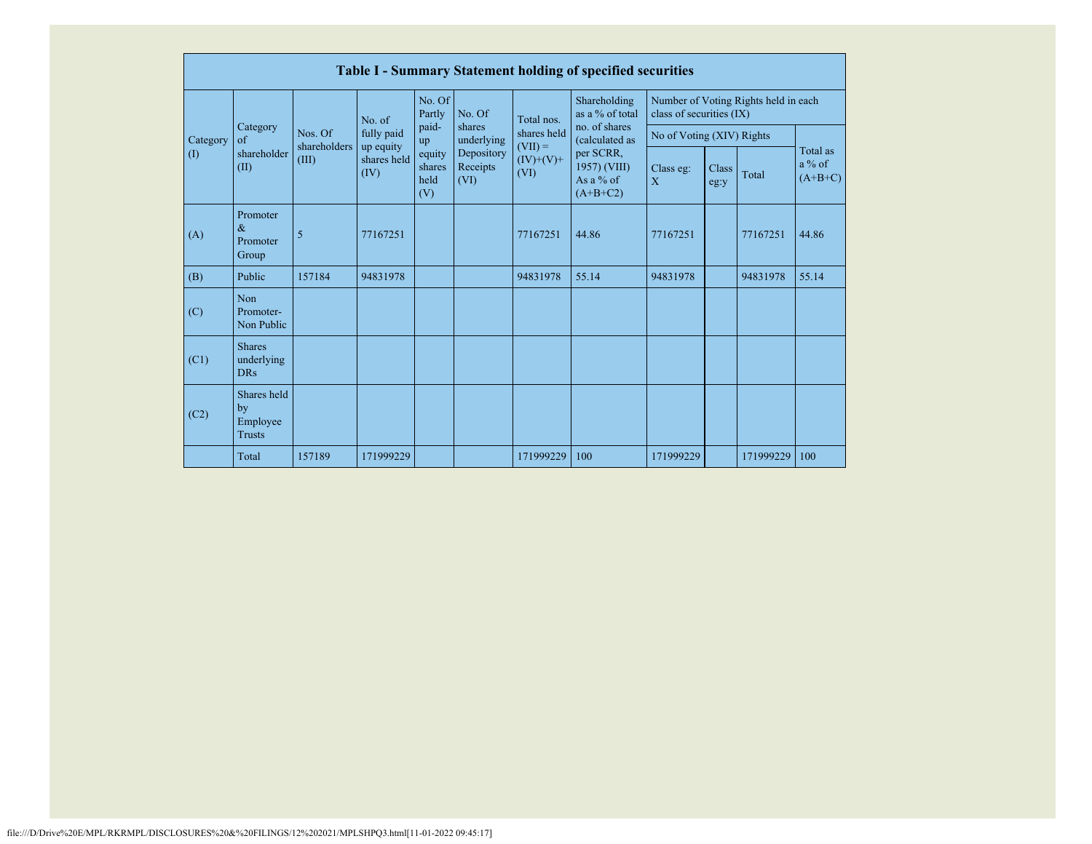|          | <b>Table I - Summary Statement holding of specified securities</b> |                                                       |             |                                 |                                |                                                 |                                                        |                                                                  |               |           |                                   |  |  |
|----------|--------------------------------------------------------------------|-------------------------------------------------------|-------------|---------------------------------|--------------------------------|-------------------------------------------------|--------------------------------------------------------|------------------------------------------------------------------|---------------|-----------|-----------------------------------|--|--|
|          |                                                                    | No. of                                                |             | No. Of<br>Partly                | No. Of                         | Total nos.                                      | Shareholding<br>as a % of total                        | Number of Voting Rights held in each<br>class of securities (IX) |               |           |                                   |  |  |
| Category | Category<br>of<br>shareholder<br>(II)                              | Nos. Of<br>shareholders<br>up equity<br>(III)<br>(IV) | fully paid  | paid-<br>up                     | shares<br>underlying           | shares held<br>$(VII) =$<br>$(IV)+(V)+$<br>(VI) | no. of shares<br>(calculated as                        | No of Voting (XIV) Rights                                        |               |           |                                   |  |  |
| (1)      |                                                                    |                                                       | shares held | equity<br>shares<br>held<br>(V) | Depository<br>Receipts<br>(VI) |                                                 | per SCRR,<br>1957) (VIII)<br>As a $%$ of<br>$(A+B+C2)$ | Class eg:<br>X                                                   | Class<br>eg:y | Total     | Total as<br>$a\%$ of<br>$(A+B+C)$ |  |  |
| (A)      | Promoter<br>$\&$<br>Promoter<br>Group                              | 5                                                     | 77167251    |                                 |                                | 77167251                                        | 44.86                                                  | 77167251                                                         |               | 77167251  | 44.86                             |  |  |
| (B)      | Public                                                             | 157184                                                | 94831978    |                                 |                                | 94831978                                        | 55.14                                                  | 94831978                                                         |               | 94831978  | 55.14                             |  |  |
| (C)      | Non<br>Promoter-<br>Non Public                                     |                                                       |             |                                 |                                |                                                 |                                                        |                                                                  |               |           |                                   |  |  |
| (C1)     | <b>Shares</b><br>underlying<br><b>DRs</b>                          |                                                       |             |                                 |                                |                                                 |                                                        |                                                                  |               |           |                                   |  |  |
| (C2)     | Shares held<br>by<br>Employee<br><b>Trusts</b>                     |                                                       |             |                                 |                                |                                                 |                                                        |                                                                  |               |           |                                   |  |  |
|          | Total                                                              | 157189                                                | 171999229   |                                 |                                | 171999229                                       | 100                                                    | 171999229                                                        |               | 171999229 | 100                               |  |  |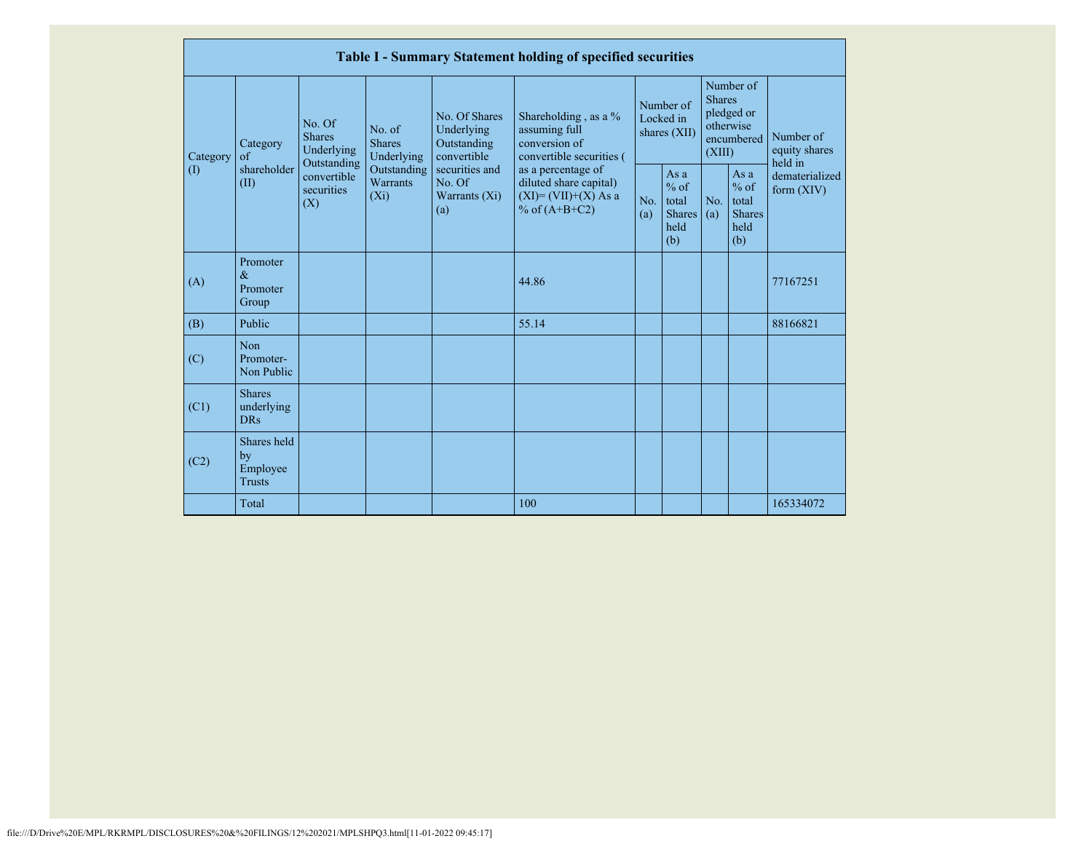|           |                                                |                                                 |                                       |                                                           | Table I - Summary Statement holding of specified securities                                |                                        |                                                           |                                                                               |                                                         |                                       |
|-----------|------------------------------------------------|-------------------------------------------------|---------------------------------------|-----------------------------------------------------------|--------------------------------------------------------------------------------------------|----------------------------------------|-----------------------------------------------------------|-------------------------------------------------------------------------------|---------------------------------------------------------|---------------------------------------|
| Category  | Category<br>of                                 | No. Of<br><b>Shares</b><br>Underlying           | No. of<br><b>Shares</b><br>Underlying | No. Of Shares<br>Underlying<br>Outstanding<br>convertible | Shareholding, as a %<br>assuming full<br>conversion of<br>convertible securities (         | Number of<br>Locked in<br>shares (XII) |                                                           | Number of<br><b>Shares</b><br>pledged or<br>otherwise<br>encumbered<br>(XIII) |                                                         | Number of<br>equity shares<br>held in |
| $\rm (I)$ | shareholder<br>(II)                            | Outstanding<br>convertible<br>securities<br>(X) | Outstanding<br>Warrants<br>$(X_i)$    | securities and<br>No. Of<br>Warrants $(X_i)$<br>(a)       | as a percentage of<br>diluted share capital)<br>$(XI) = (VII)+(X) As a$<br>% of $(A+B+C2)$ | No.<br>(a)                             | As $a$<br>$%$ of<br>total<br><b>Shares</b><br>held<br>(b) | No.<br>(a)                                                                    | As a<br>$%$ of<br>total<br><b>Shares</b><br>held<br>(b) | dematerialized<br>form $(XIV)$        |
| (A)       | Promoter<br>$\&$<br>Promoter<br>Group          |                                                 |                                       |                                                           | 44.86                                                                                      |                                        |                                                           |                                                                               |                                                         | 77167251                              |
| (B)       | Public                                         |                                                 |                                       |                                                           | 55.14                                                                                      |                                        |                                                           |                                                                               |                                                         | 88166821                              |
| (C)       | Non<br>Promoter-<br>Non Public                 |                                                 |                                       |                                                           |                                                                                            |                                        |                                                           |                                                                               |                                                         |                                       |
| (C1)      | <b>Shares</b><br>underlying<br><b>DRs</b>      |                                                 |                                       |                                                           |                                                                                            |                                        |                                                           |                                                                               |                                                         |                                       |
| (C2)      | Shares held<br>by<br>Employee<br><b>Trusts</b> |                                                 |                                       |                                                           |                                                                                            |                                        |                                                           |                                                                               |                                                         |                                       |
|           | Total                                          |                                                 |                                       |                                                           | 100                                                                                        |                                        |                                                           |                                                                               |                                                         | 165334072                             |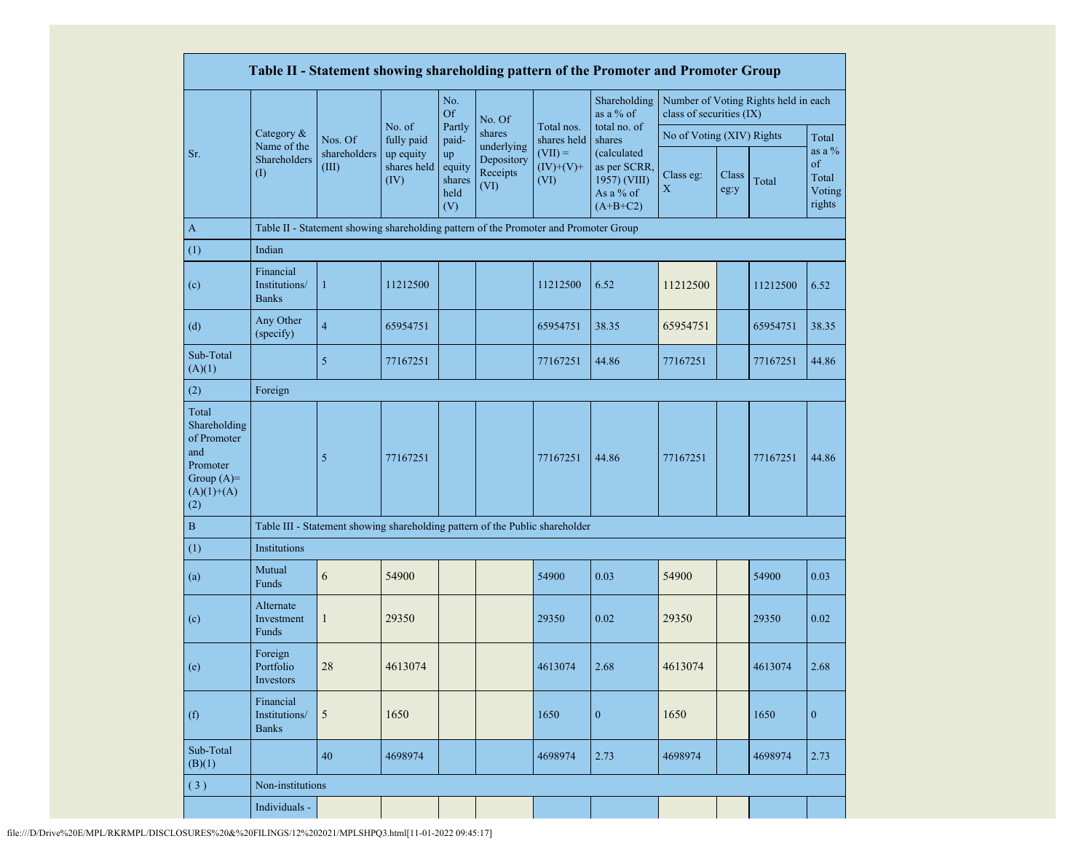|                                                                                                |                                            |                                                                                      |                                  |                                       |                                |                                  | Table II - Statement showing shareholding pattern of the Promoter and Promoter Group |                           |               |                                      |                                              |
|------------------------------------------------------------------------------------------------|--------------------------------------------|--------------------------------------------------------------------------------------|----------------------------------|---------------------------------------|--------------------------------|----------------------------------|--------------------------------------------------------------------------------------|---------------------------|---------------|--------------------------------------|----------------------------------------------|
|                                                                                                |                                            |                                                                                      |                                  | No.<br><b>Of</b>                      | No. Of                         |                                  | Shareholding<br>as a % of                                                            | class of securities (IX)  |               | Number of Voting Rights held in each |                                              |
|                                                                                                | Category &<br>Name of the                  | Nos. Of                                                                              | No. of<br>fully paid             | Partly<br>paid-                       | shares<br>underlying           | Total nos.<br>shares held        | total no. of<br>shares                                                               | No of Voting (XIV) Rights |               |                                      | Total                                        |
| Sr.                                                                                            | Shareholders<br>$\rm (I)$                  | shareholders<br>(III)                                                                | up equity<br>shares held<br>(IV) | up<br>equity<br>shares<br>held<br>(V) | Depository<br>Receipts<br>(VI) | $(VII) =$<br>$(IV)+(V)+$<br>(VI) | (calculated<br>as per SCRR,<br>1957) (VIII)<br>As a % of<br>$(A+B+C2)$               | Class eg:<br>X            | Class<br>eg:y | Total                                | as a $\%$<br>of<br>Total<br>Voting<br>rights |
| $\mathbf{A}$                                                                                   |                                            | Table II - Statement showing shareholding pattern of the Promoter and Promoter Group |                                  |                                       |                                |                                  |                                                                                      |                           |               |                                      |                                              |
| (1)                                                                                            | Indian                                     |                                                                                      |                                  |                                       |                                |                                  |                                                                                      |                           |               |                                      |                                              |
| (c)                                                                                            | Financial<br>Institutions/<br><b>Banks</b> | $\mathbf{1}$                                                                         | 11212500                         |                                       |                                | 11212500                         | 6.52                                                                                 | 11212500                  |               | 11212500                             | 6.52                                         |
| (d)                                                                                            | Any Other<br>(specify)                     | $\overline{4}$                                                                       | 65954751                         |                                       |                                | 65954751                         | 38.35                                                                                | 65954751                  |               | 65954751                             | 38.35                                        |
| Sub-Total<br>(A)(1)                                                                            |                                            | 5                                                                                    | 77167251                         |                                       |                                | 77167251                         | 44.86                                                                                | 77167251                  |               | 77167251                             | 44.86                                        |
| (2)                                                                                            | Foreign                                    |                                                                                      |                                  |                                       |                                |                                  |                                                                                      |                           |               |                                      |                                              |
| Total<br>Shareholding<br>of Promoter<br>and<br>Promoter<br>Group $(A)=$<br>$(A)(1)+(A)$<br>(2) |                                            | 5                                                                                    | 77167251                         |                                       |                                | 77167251                         | 44.86                                                                                | 77167251                  |               | 77167251                             | 44.86                                        |
| $\, {\bf B}$                                                                                   |                                            | Table III - Statement showing shareholding pattern of the Public shareholder         |                                  |                                       |                                |                                  |                                                                                      |                           |               |                                      |                                              |
| (1)                                                                                            | Institutions                               |                                                                                      |                                  |                                       |                                |                                  |                                                                                      |                           |               |                                      |                                              |
| (a)                                                                                            | Mutual<br>Funds                            | 6                                                                                    | 54900                            |                                       |                                | 54900                            | 0.03                                                                                 | 54900                     |               | 54900                                | 0.03                                         |
| (c)                                                                                            | Alternate<br>Investment<br>Funds           | $\mathbf{1}$                                                                         | 29350                            |                                       |                                | 29350                            | 0.02                                                                                 | 29350                     |               | 29350                                | 0.02                                         |
| (e)                                                                                            | Foreign<br>Portfolio<br>Investors          | 28                                                                                   | 4613074                          |                                       |                                | 4613074                          | 2.68                                                                                 | 4613074                   |               | 4613074                              | 2.68                                         |
| (f)                                                                                            | Financial<br>Institutions/<br><b>Banks</b> | 5                                                                                    | 1650                             |                                       |                                | 1650                             | $\boldsymbol{0}$                                                                     | 1650                      |               | 1650                                 | $\boldsymbol{0}$                             |
| Sub-Total<br>(B)(1)                                                                            |                                            | 40                                                                                   | 4698974                          |                                       |                                | 4698974                          | 2.73                                                                                 | 4698974                   |               | 4698974                              | 2.73                                         |
| (3)                                                                                            | Non-institutions                           |                                                                                      |                                  |                                       |                                |                                  |                                                                                      |                           |               |                                      |                                              |
|                                                                                                | Individuals -                              |                                                                                      |                                  |                                       |                                |                                  |                                                                                      |                           |               |                                      |                                              |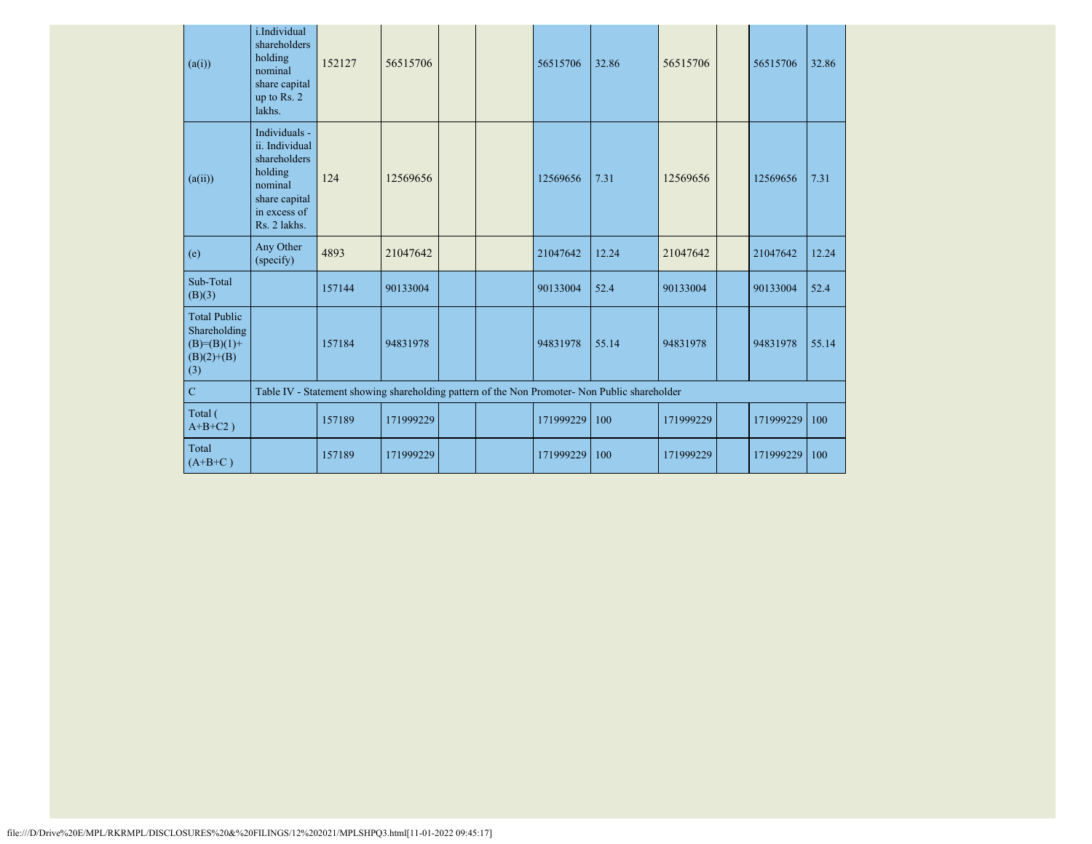| (a(i))                                                                        | i.Individual<br>shareholders<br>holding<br>nominal<br>share capital<br>up to Rs. 2<br>lakhs.                           | 152127 | 56515706  |  | 56515706  | 32.86                                                                                         | 56515706  | 56515706  | 32.86 |
|-------------------------------------------------------------------------------|------------------------------------------------------------------------------------------------------------------------|--------|-----------|--|-----------|-----------------------------------------------------------------------------------------------|-----------|-----------|-------|
| (a(ii))                                                                       | Individuals -<br>ii. Individual<br>shareholders<br>holding<br>nominal<br>share capital<br>in excess of<br>Rs. 2 lakhs. | 124    | 12569656  |  | 12569656  | 7.31                                                                                          | 12569656  | 12569656  | 7.31  |
| (e)                                                                           | Any Other<br>(specify)                                                                                                 | 4893   | 21047642  |  | 21047642  | 12.24                                                                                         | 21047642  | 21047642  | 12.24 |
| Sub-Total<br>(B)(3)                                                           |                                                                                                                        | 157144 | 90133004  |  | 90133004  | 52.4                                                                                          | 90133004  | 90133004  | 52.4  |
| <b>Total Public</b><br>Shareholding<br>$(B)= (B)(1) +$<br>$(B)(2)+(B)$<br>(3) |                                                                                                                        | 157184 | 94831978  |  | 94831978  | 55.14                                                                                         | 94831978  | 94831978  | 55.14 |
| $\mathbf C$                                                                   |                                                                                                                        |        |           |  |           | Table IV - Statement showing shareholding pattern of the Non Promoter- Non Public shareholder |           |           |       |
| Total (<br>$A+B+C2$ )                                                         |                                                                                                                        | 157189 | 171999229 |  | 171999229 | 100                                                                                           | 171999229 | 171999229 | 100   |
| Total<br>$(A+B+C)$                                                            |                                                                                                                        | 157189 | 171999229 |  | 171999229 | 100                                                                                           | 171999229 | 171999229 | 100   |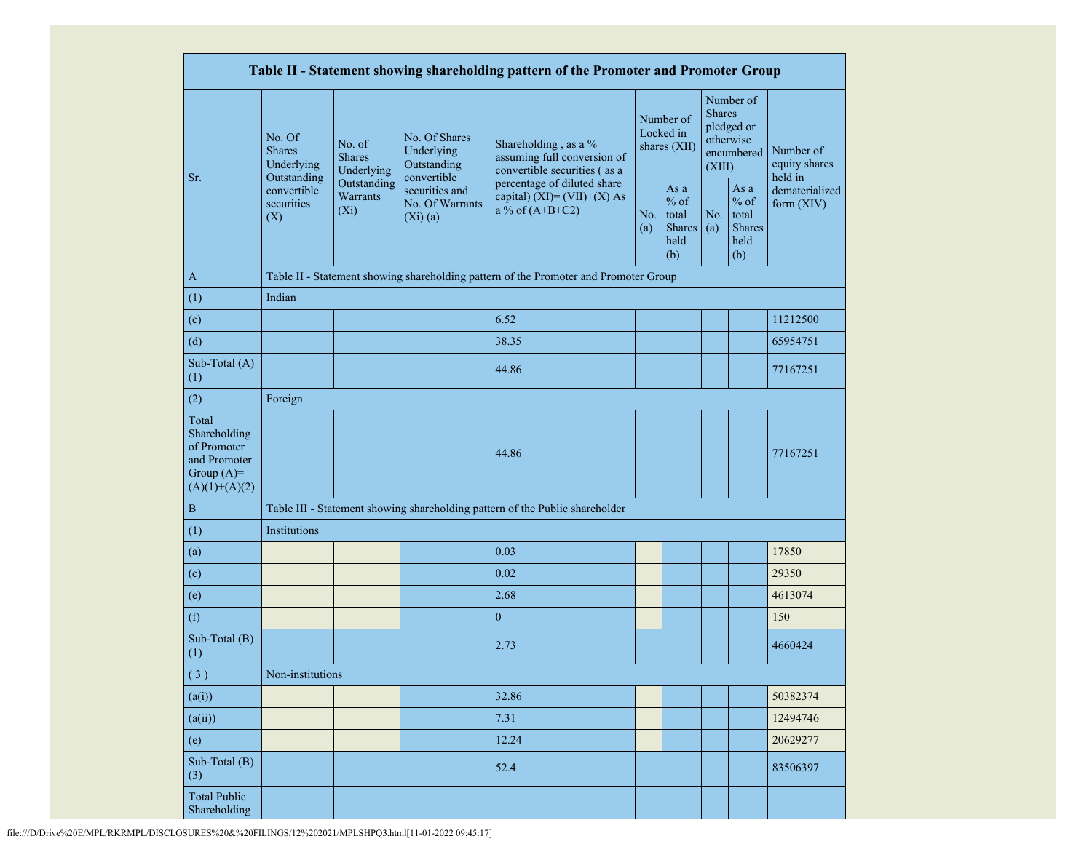|                                                                                         |                                                                                                                                |                         |                                                             | Table II - Statement showing shareholding pattern of the Promoter and Promoter Group |  |                                                  |                         |                                                         |                                       |  |
|-----------------------------------------------------------------------------------------|--------------------------------------------------------------------------------------------------------------------------------|-------------------------|-------------------------------------------------------------|--------------------------------------------------------------------------------------|--|--------------------------------------------------|-------------------------|---------------------------------------------------------|---------------------------------------|--|
|                                                                                         | No. Of<br>No. of<br><b>Shares</b><br><b>Shares</b><br>Underlying<br>Outstanding<br>convertible<br>securities<br>$(X_i)$<br>(X) | Underlying              | No. Of Shares<br>Underlying<br>Outstanding                  | Shareholding, as a %<br>assuming full conversion of<br>convertible securities (as a  |  | Number of<br>Locked in<br>shares (XII)           | <b>Shares</b><br>(XIII) | Number of<br>pledged or<br>otherwise<br>encumbered      | Number of<br>equity shares<br>held in |  |
| Sr.                                                                                     |                                                                                                                                | Outstanding<br>Warrants | convertible<br>securities and<br>No. Of Warrants<br>(Xi)(a) | percentage of diluted share<br>capital) $(XI) = (VII)+(X) As$<br>a % of $(A+B+C2)$   |  | As a<br>$%$ of<br>total<br>Shares<br>held<br>(b) | No.<br>(a)              | As a<br>$%$ of<br>total<br><b>Shares</b><br>held<br>(b) | dematerialized<br>form (XIV)          |  |
| $\mathbf{A}$                                                                            |                                                                                                                                |                         |                                                             | Table II - Statement showing shareholding pattern of the Promoter and Promoter Group |  |                                                  |                         |                                                         |                                       |  |
| (1)                                                                                     | Indian                                                                                                                         |                         |                                                             |                                                                                      |  |                                                  |                         |                                                         |                                       |  |
| (c)                                                                                     |                                                                                                                                |                         |                                                             | 6.52                                                                                 |  |                                                  |                         |                                                         | 11212500                              |  |
| (d)                                                                                     |                                                                                                                                |                         |                                                             | 38.35                                                                                |  |                                                  |                         |                                                         | 65954751                              |  |
| Sub-Total (A)<br>(1)                                                                    |                                                                                                                                |                         |                                                             | 44.86                                                                                |  |                                                  |                         |                                                         | 77167251                              |  |
| (2)                                                                                     | Foreign                                                                                                                        |                         |                                                             |                                                                                      |  |                                                  |                         |                                                         |                                       |  |
| Total<br>Shareholding<br>of Promoter<br>and Promoter<br>Group $(A)=$<br>$(A)(1)+(A)(2)$ |                                                                                                                                |                         |                                                             | 44.86                                                                                |  |                                                  |                         |                                                         | 77167251                              |  |
| $\, {\bf B}$                                                                            |                                                                                                                                |                         |                                                             | Table III - Statement showing shareholding pattern of the Public shareholder         |  |                                                  |                         |                                                         |                                       |  |
| (1)                                                                                     | Institutions                                                                                                                   |                         |                                                             |                                                                                      |  |                                                  |                         |                                                         |                                       |  |
| (a)                                                                                     |                                                                                                                                |                         |                                                             | 0.03                                                                                 |  |                                                  |                         |                                                         | 17850                                 |  |
| (c)                                                                                     |                                                                                                                                |                         |                                                             | 0.02                                                                                 |  |                                                  |                         |                                                         | 29350                                 |  |
| (e)                                                                                     |                                                                                                                                |                         |                                                             | 2.68                                                                                 |  |                                                  |                         |                                                         | 4613074                               |  |
| (f)                                                                                     |                                                                                                                                |                         |                                                             | $\boldsymbol{0}$                                                                     |  |                                                  |                         |                                                         | 150                                   |  |
| Sub-Total (B)<br>(1)                                                                    |                                                                                                                                |                         |                                                             | 2.73                                                                                 |  |                                                  |                         |                                                         | 4660424                               |  |
| (3)                                                                                     | Non-institutions                                                                                                               |                         |                                                             |                                                                                      |  |                                                  |                         |                                                         |                                       |  |
| (a(i))                                                                                  |                                                                                                                                |                         |                                                             | 32.86                                                                                |  |                                                  |                         |                                                         | 50382374                              |  |
| (a(ii))                                                                                 |                                                                                                                                |                         |                                                             | 7.31                                                                                 |  |                                                  |                         |                                                         | 12494746                              |  |
| (e)                                                                                     |                                                                                                                                |                         |                                                             | 12.24                                                                                |  |                                                  |                         |                                                         | 20629277                              |  |
| Sub-Total (B)<br>(3)                                                                    |                                                                                                                                |                         |                                                             | 52.4                                                                                 |  |                                                  |                         |                                                         | 83506397                              |  |
| <b>Total Public</b><br>Shareholding                                                     |                                                                                                                                |                         |                                                             |                                                                                      |  |                                                  |                         |                                                         |                                       |  |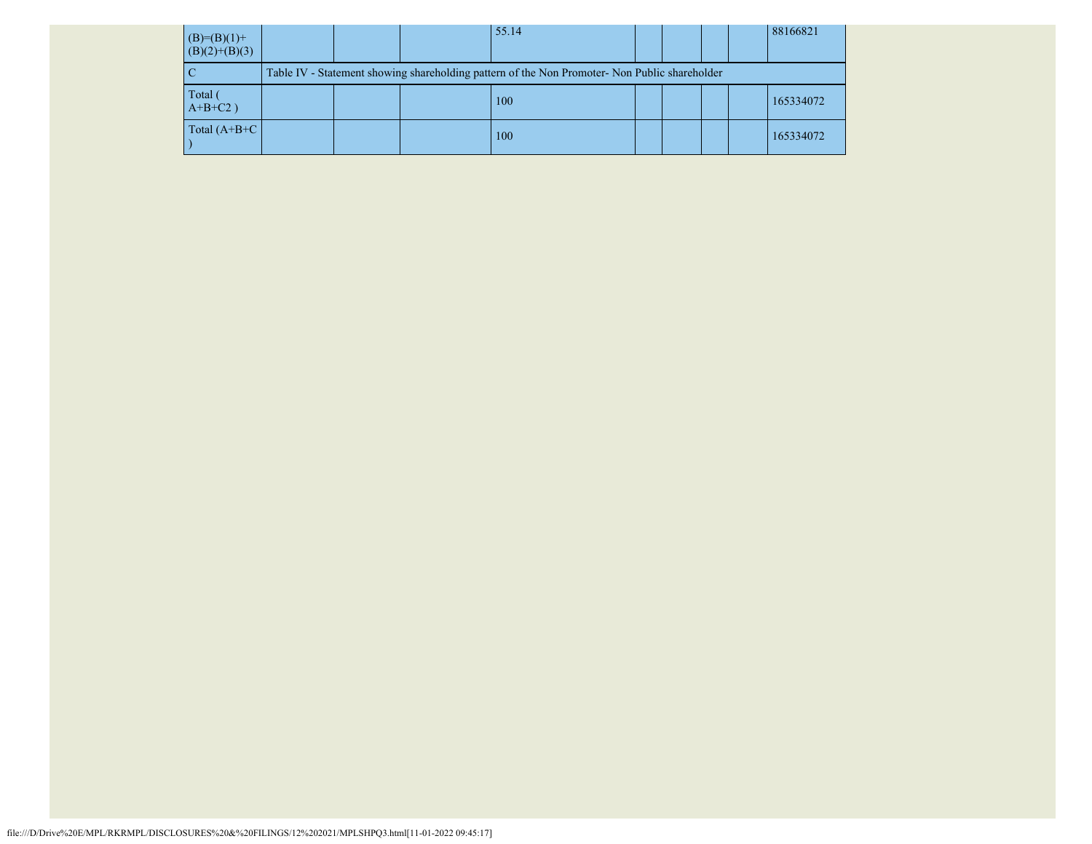| $(B)=(B)(1)+$<br>$(B)(2)+(B)(3)$ |  | 55.14                                                                                         |  |  | 88166821  |
|----------------------------------|--|-----------------------------------------------------------------------------------------------|--|--|-----------|
|                                  |  | Table IV - Statement showing shareholding pattern of the Non Promoter- Non Public shareholder |  |  |           |
| Total<br>$A+B+C2$ )              |  | 100                                                                                           |  |  | 165334072 |
| Total $(A+B+C)$                  |  | 100                                                                                           |  |  | 165334072 |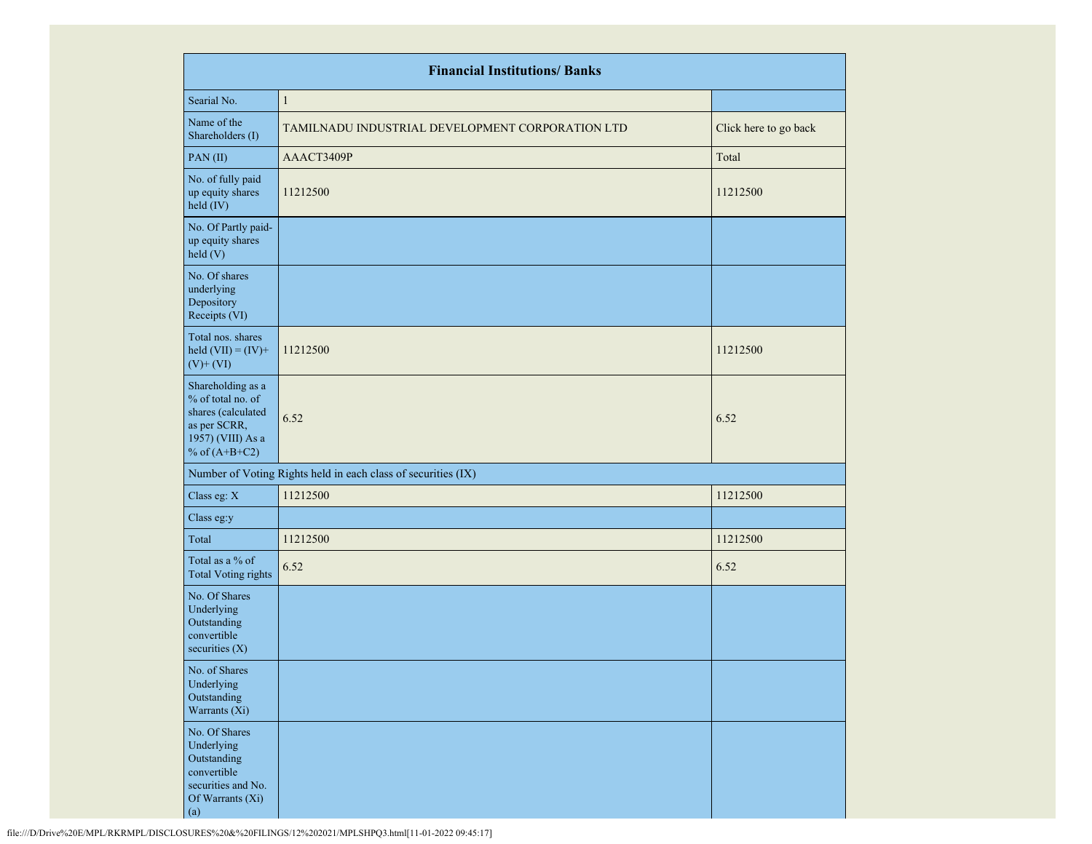|                                                                                                                      | <b>Financial Institutions/ Banks</b>                          |                       |
|----------------------------------------------------------------------------------------------------------------------|---------------------------------------------------------------|-----------------------|
| Searial No.                                                                                                          | $\mathbf{1}$                                                  |                       |
| Name of the<br>Shareholders (I)                                                                                      | TAMILNADU INDUSTRIAL DEVELOPMENT CORPORATION LTD              | Click here to go back |
| PAN(II)                                                                                                              | AAACT3409P                                                    | Total                 |
| No. of fully paid<br>up equity shares<br>held (IV)                                                                   | 11212500                                                      | 11212500              |
| No. Of Partly paid-<br>up equity shares<br>held (V)                                                                  |                                                               |                       |
| No. Of shares<br>underlying<br>Depository<br>Receipts (VI)                                                           |                                                               |                       |
| Total nos. shares<br>held $(VII) = (IV) +$<br>$(V)$ + $(VI)$                                                         | 11212500                                                      | 11212500              |
| Shareholding as a<br>% of total no. of<br>shares (calculated<br>as per SCRR,<br>1957) (VIII) As a<br>% of $(A+B+C2)$ | 6.52                                                          | 6.52                  |
|                                                                                                                      | Number of Voting Rights held in each class of securities (IX) |                       |
| Class eg: X                                                                                                          | 11212500                                                      | 11212500              |
| Class eg:y                                                                                                           |                                                               |                       |
| Total                                                                                                                | 11212500                                                      | 11212500              |
| Total as a % of<br><b>Total Voting rights</b>                                                                        | 6.52                                                          | 6.52                  |
| No. Of Shares<br>Underlying<br>Outstanding<br>convertible<br>securities $(X)$                                        |                                                               |                       |
| No. of Shares<br>Underlying<br>Outstanding<br>Warrants (Xi)                                                          |                                                               |                       |
| No. Of Shares<br>Underlying<br>Outstanding<br>convertible<br>securities and No.<br>Of Warrants (Xi)<br>(a)           |                                                               |                       |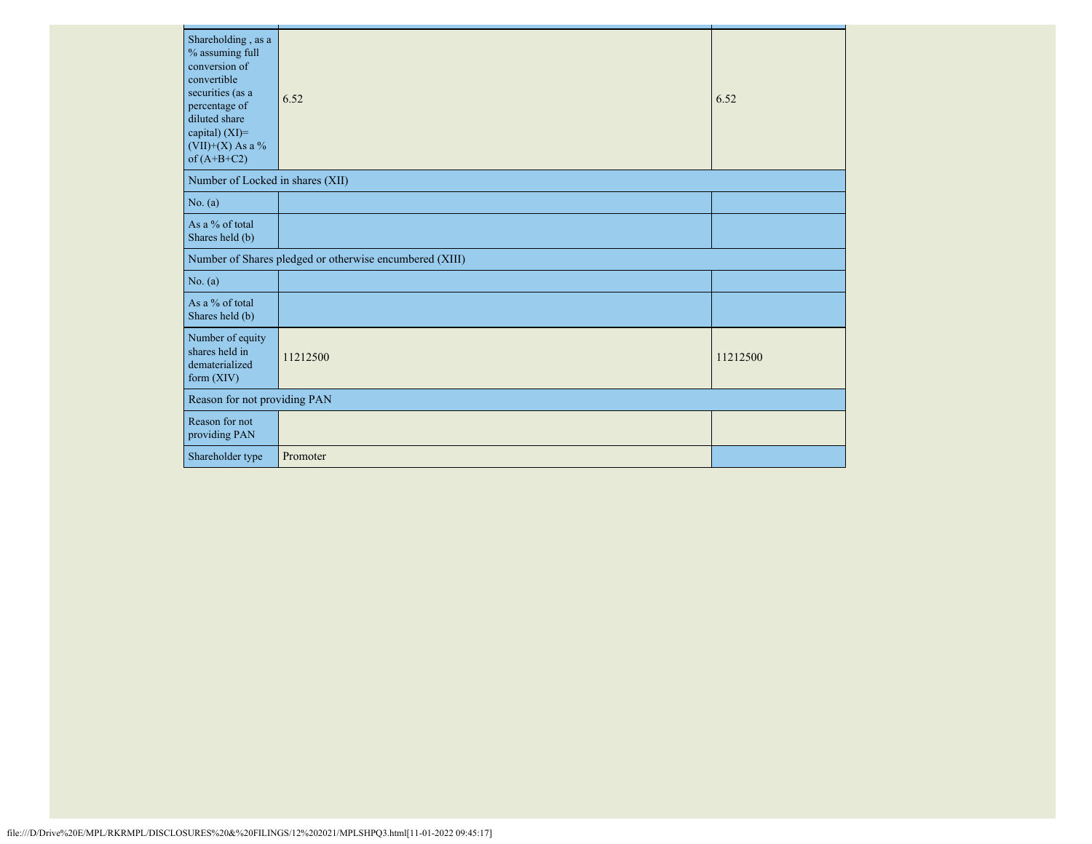| Shareholding, as a<br>% assuming full<br>conversion of<br>convertible<br>securities (as a<br>percentage of<br>diluted share<br>capital) (XI)=<br>$(VII)+(X)$ As a %<br>of $(A+B+C2)$ | 6.52                                                    | 6.52     |
|--------------------------------------------------------------------------------------------------------------------------------------------------------------------------------------|---------------------------------------------------------|----------|
| Number of Locked in shares (XII)                                                                                                                                                     |                                                         |          |
| No. (a)                                                                                                                                                                              |                                                         |          |
| As a % of total<br>Shares held (b)                                                                                                                                                   |                                                         |          |
|                                                                                                                                                                                      | Number of Shares pledged or otherwise encumbered (XIII) |          |
| No. (a)                                                                                                                                                                              |                                                         |          |
| As a % of total<br>Shares held (b)                                                                                                                                                   |                                                         |          |
| Number of equity<br>shares held in<br>dematerialized<br>form $(XIV)$                                                                                                                 | 11212500                                                | 11212500 |
| Reason for not providing PAN                                                                                                                                                         |                                                         |          |
| Reason for not<br>providing PAN                                                                                                                                                      |                                                         |          |
| Shareholder type                                                                                                                                                                     | Promoter                                                |          |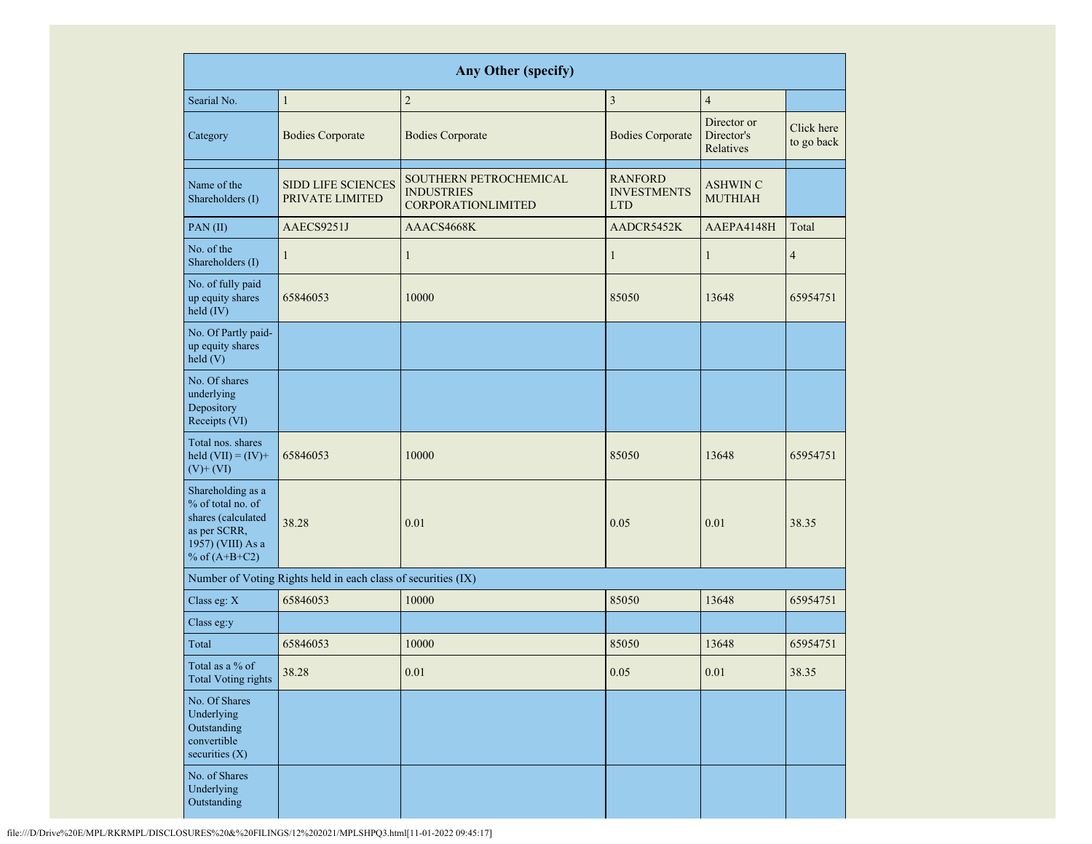|                                                                                                                      |                                                               | <b>Any Other (specify)</b>                                               |                                                    |                                        |                          |
|----------------------------------------------------------------------------------------------------------------------|---------------------------------------------------------------|--------------------------------------------------------------------------|----------------------------------------------------|----------------------------------------|--------------------------|
| Searial No.                                                                                                          | $\mathbf{1}$                                                  | $\sqrt{2}$                                                               | $\overline{3}$                                     | $\overline{4}$                         |                          |
| Category                                                                                                             | <b>Bodies Corporate</b>                                       | <b>Bodies Corporate</b>                                                  | <b>Bodies Corporate</b>                            | Director or<br>Director's<br>Relatives | Click here<br>to go back |
| Name of the<br>Shareholders (I)                                                                                      | <b>SIDD LIFE SCIENCES</b><br>PRIVATE LIMITED                  | SOUTHERN PETROCHEMICAL<br><b>INDUSTRIES</b><br><b>CORPORATIONLIMITED</b> | <b>RANFORD</b><br><b>INVESTMENTS</b><br><b>LTD</b> | <b>ASHWIN C</b><br><b>MUTHIAH</b>      |                          |
| PAN(II)                                                                                                              | AAECS9251J                                                    | AAACS4668K                                                               | AADCR5452K                                         | AAEPA4148H                             | Total                    |
| No. of the<br>Shareholders (I)                                                                                       | $\mathbf{1}$                                                  | $\mathbf{1}$                                                             | $\mathbf{1}$                                       | $\mathbf{1}$                           | $\overline{4}$           |
| No. of fully paid<br>up equity shares<br>held (IV)                                                                   | 65846053                                                      | 10000                                                                    | 85050                                              | 13648                                  | 65954751                 |
| No. Of Partly paid-<br>up equity shares<br>held(V)                                                                   |                                                               |                                                                          |                                                    |                                        |                          |
| No. Of shares<br>underlying<br>Depository<br>Receipts (VI)                                                           |                                                               |                                                                          |                                                    |                                        |                          |
| Total nos. shares<br>held $(VII) = (IV) +$<br>$(V)$ + $(VI)$                                                         | 65846053                                                      | 10000                                                                    | 85050                                              | 13648                                  | 65954751                 |
| Shareholding as a<br>% of total no. of<br>shares (calculated<br>as per SCRR,<br>1957) (VIII) As a<br>% of $(A+B+C2)$ | 38.28                                                         | 0.01                                                                     | 0.05                                               | 0.01                                   | 38.35                    |
|                                                                                                                      | Number of Voting Rights held in each class of securities (IX) |                                                                          |                                                    |                                        |                          |
| Class eg: X                                                                                                          | 65846053                                                      | 10000                                                                    | 85050                                              | 13648                                  | 65954751                 |
| Class eg:y                                                                                                           |                                                               |                                                                          |                                                    |                                        |                          |
| Total                                                                                                                | 65846053                                                      | 10000                                                                    | 85050                                              | 13648                                  | 65954751                 |
| Total as a % of<br><b>Total Voting rights</b>                                                                        | 38.28                                                         | 0.01                                                                     | 0.05                                               | 0.01                                   | 38.35                    |
| No. Of Shares<br>Underlying<br>Outstanding<br>convertible<br>securities $(X)$                                        |                                                               |                                                                          |                                                    |                                        |                          |
| No. of Shares<br>Underlying<br>Outstanding                                                                           |                                                               |                                                                          |                                                    |                                        |                          |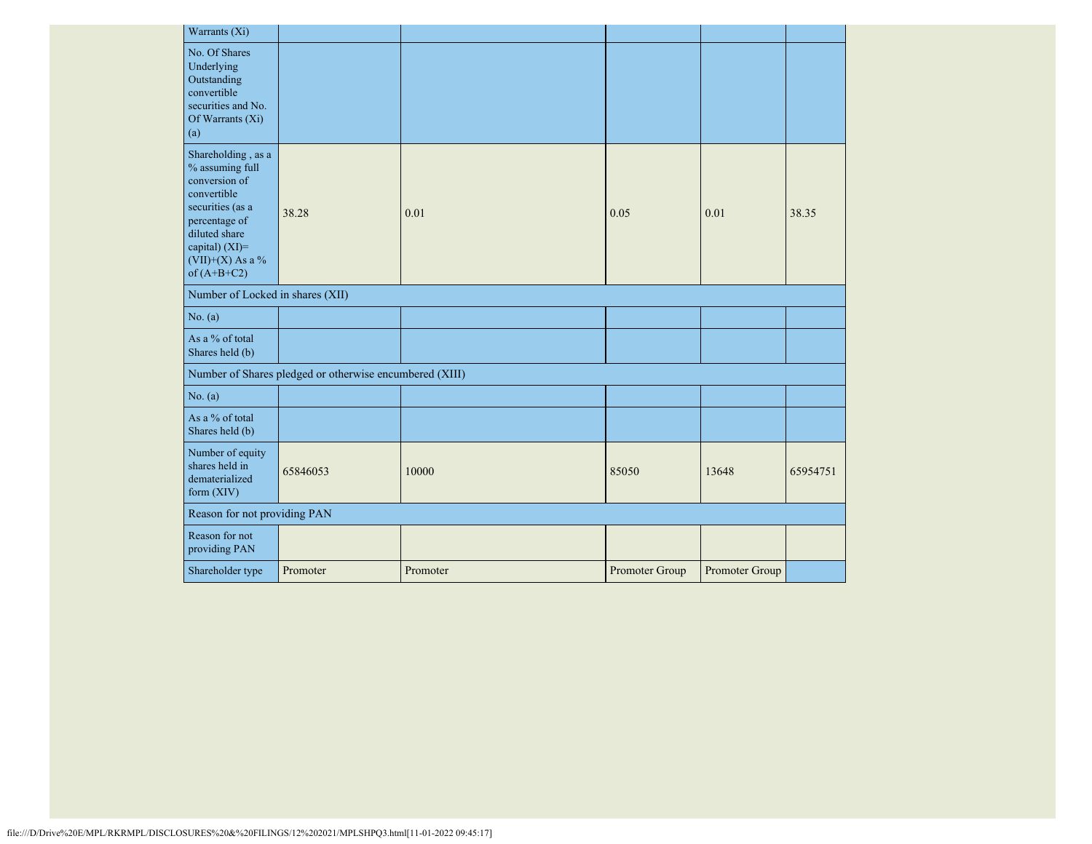| Warrants (Xi)                                                                                                                                                                      |                                                         |          |                |                |          |
|------------------------------------------------------------------------------------------------------------------------------------------------------------------------------------|---------------------------------------------------------|----------|----------------|----------------|----------|
| No. Of Shares<br>Underlying<br>Outstanding<br>convertible<br>securities and No.<br>Of Warrants $(X_i)$<br>(a)                                                                      |                                                         |          |                |                |          |
| Shareholding, as a<br>% assuming full<br>conversion of<br>convertible<br>securities (as a<br>percentage of<br>diluted share<br>capital) (XI)=<br>(VII)+(X) As a %<br>of $(A+B+C2)$ | 38.28                                                   | 0.01     | 0.05           | 0.01           | 38.35    |
| Number of Locked in shares (XII)                                                                                                                                                   |                                                         |          |                |                |          |
| No. (a)                                                                                                                                                                            |                                                         |          |                |                |          |
| As a % of total<br>Shares held (b)                                                                                                                                                 |                                                         |          |                |                |          |
|                                                                                                                                                                                    | Number of Shares pledged or otherwise encumbered (XIII) |          |                |                |          |
| No. (a)                                                                                                                                                                            |                                                         |          |                |                |          |
| As a % of total<br>Shares held (b)                                                                                                                                                 |                                                         |          |                |                |          |
| Number of equity<br>shares held in<br>dematerialized<br>form $(XIV)$                                                                                                               | 65846053                                                | 10000    | 85050          | 13648          | 65954751 |
| Reason for not providing PAN                                                                                                                                                       |                                                         |          |                |                |          |
| Reason for not<br>providing PAN                                                                                                                                                    |                                                         |          |                |                |          |
| Shareholder type                                                                                                                                                                   | Promoter                                                | Promoter | Promoter Group | Promoter Group |          |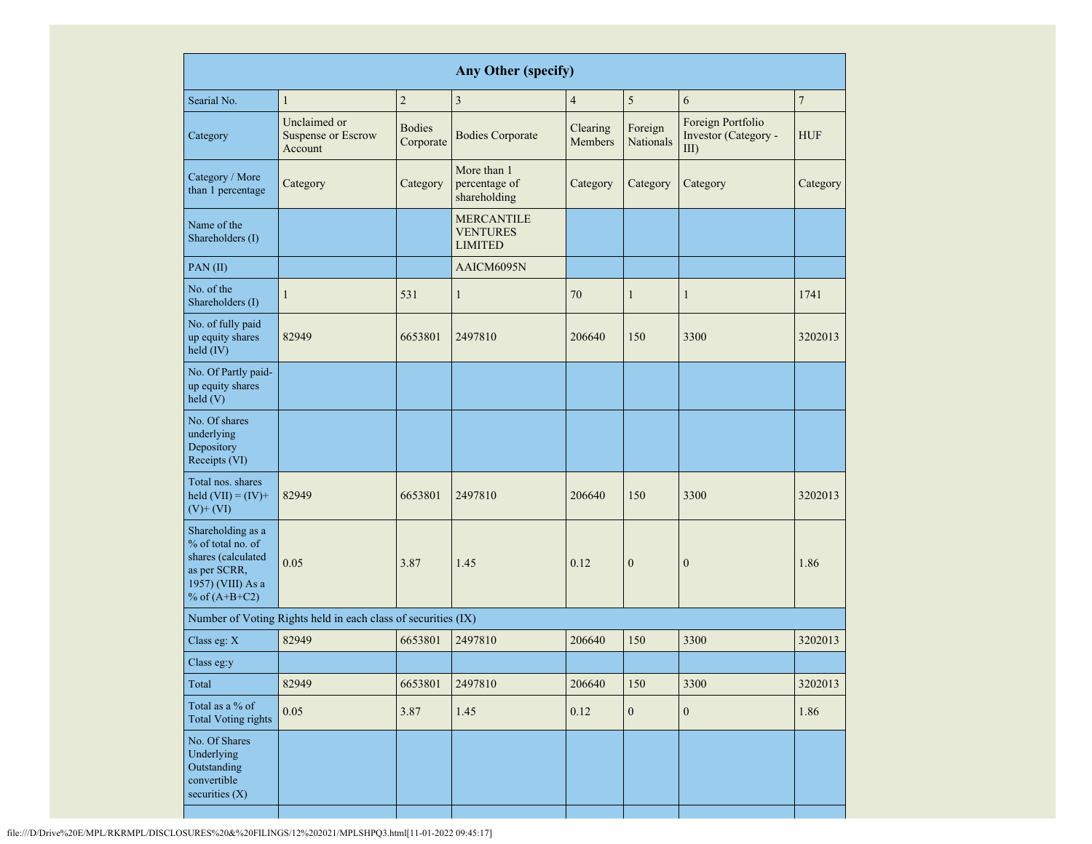| <b>Any Other (specify)</b>                                                                                           |                                                      |                            |                                                        |                     |                      |                                                      |                |
|----------------------------------------------------------------------------------------------------------------------|------------------------------------------------------|----------------------------|--------------------------------------------------------|---------------------|----------------------|------------------------------------------------------|----------------|
| Searial No.                                                                                                          | $\mathbf{1}$                                         | $\sqrt{2}$                 | $\overline{\mathbf{3}}$                                | $\overline{4}$      | 5                    | 6                                                    | $\overline{7}$ |
| Category                                                                                                             | Unclaimed or<br><b>Suspense or Escrow</b><br>Account | <b>Bodies</b><br>Corporate | <b>Bodies Corporate</b>                                | Clearing<br>Members | Foreign<br>Nationals | Foreign Portfolio<br>Investor (Category -<br>$III$ ) | <b>HUF</b>     |
| Category / More<br>than 1 percentage                                                                                 | Category                                             | Category                   | More than 1<br>percentage of<br>shareholding           | Category            | Category             | Category                                             | Category       |
| Name of the<br>Shareholders (I)                                                                                      |                                                      |                            | <b>MERCANTILE</b><br><b>VENTURES</b><br><b>LIMITED</b> |                     |                      |                                                      |                |
| $PAN$ (II)                                                                                                           |                                                      |                            | AAICM6095N                                             |                     |                      |                                                      |                |
| No. of the<br>Shareholders (I)                                                                                       | $\mathbf{1}$                                         | 531                        | $\mathbf{1}$                                           | 70                  | $\mathbf{1}$         | $\mathbf{1}$                                         | 1741           |
| No. of fully paid<br>up equity shares<br>held $(IV)$                                                                 | 82949                                                | 6653801                    | 2497810                                                | 206640              | 150                  | 3300                                                 | 3202013        |
| No. Of Partly paid-<br>up equity shares<br>held(V)                                                                   |                                                      |                            |                                                        |                     |                      |                                                      |                |
| No. Of shares<br>underlying<br>Depository<br>Receipts (VI)                                                           |                                                      |                            |                                                        |                     |                      |                                                      |                |
| Total nos. shares<br>held $(VII) = (IV) +$<br>$(V)$ + $(VI)$                                                         | 82949                                                | 6653801                    | 2497810                                                | 206640              | 150                  | 3300                                                 | 3202013        |
| Shareholding as a<br>% of total no. of<br>shares (calculated<br>as per SCRR,<br>1957) (VIII) As a<br>% of $(A+B+C2)$ | 0.05                                                 | 3.87                       | 1.45                                                   | 0.12                | $\boldsymbol{0}$     | $\mathbf{0}$                                         | 1.86           |
| Number of Voting Rights held in each class of securities (IX)                                                        |                                                      |                            |                                                        |                     |                      |                                                      |                |
| Class eg: X                                                                                                          | 82949                                                | 6653801                    | 2497810                                                | 206640              | 150                  | 3300                                                 | 3202013        |
| Class eg:y                                                                                                           |                                                      |                            |                                                        |                     |                      |                                                      |                |
| Total                                                                                                                | 82949                                                | 6653801                    | 2497810                                                | 206640              | 150                  | 3300                                                 | 3202013        |
| Total as a % of<br><b>Total Voting rights</b>                                                                        | 0.05                                                 | 3.87                       | 1.45                                                   | 0.12                | $\boldsymbol{0}$     | $\boldsymbol{0}$                                     | 1.86           |
| No. Of Shares<br>Underlying<br>Outstanding<br>convertible<br>securities $(X)$                                        |                                                      |                            |                                                        |                     |                      |                                                      |                |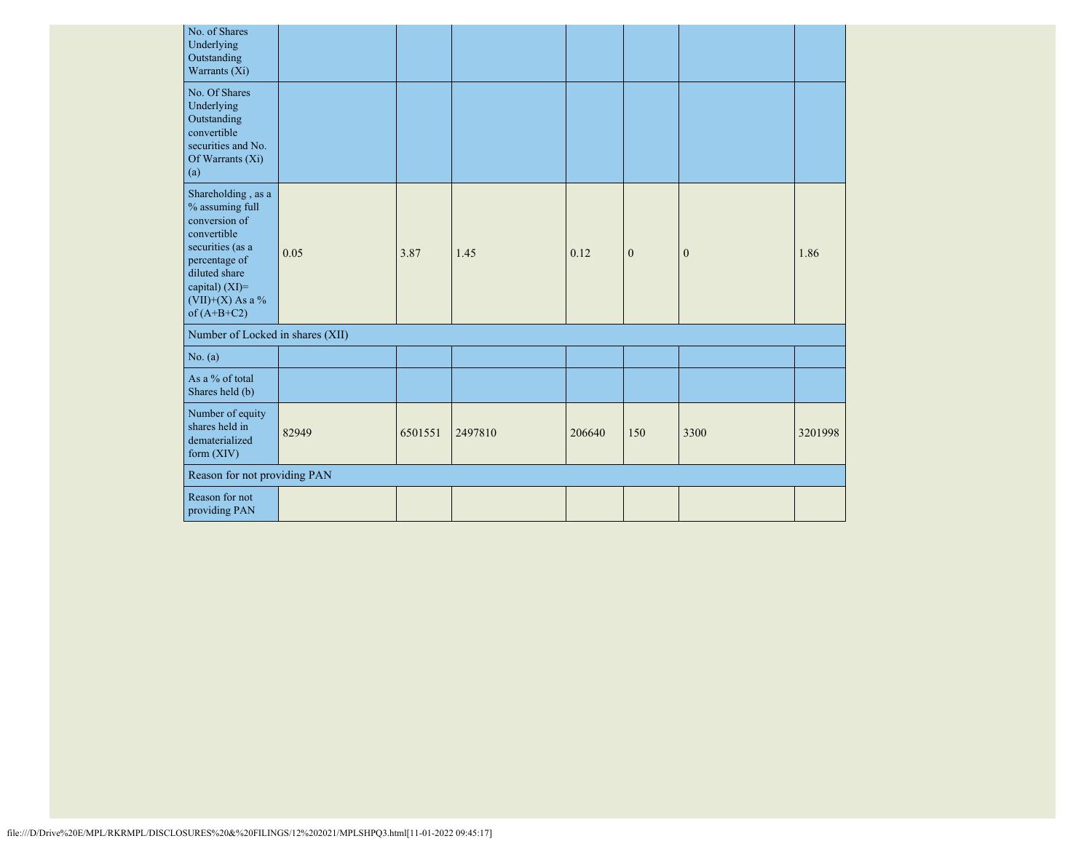| No. of Shares<br>Underlying<br>Outstanding<br>Warrants (Xi)                                                                                                                        |                                  |         |         |        |              |              |         |
|------------------------------------------------------------------------------------------------------------------------------------------------------------------------------------|----------------------------------|---------|---------|--------|--------------|--------------|---------|
| No. Of Shares<br>Underlying<br>Outstanding<br>convertible<br>securities and No.<br>Of Warrants (Xi)<br>(a)                                                                         |                                  |         |         |        |              |              |         |
| Shareholding, as a<br>% assuming full<br>conversion of<br>convertible<br>securities (as a<br>percentage of<br>diluted share<br>capital) (XI)=<br>(VII)+(X) As a %<br>of $(A+B+C2)$ | 0.05                             | 3.87    | 1.45    | 0.12   | $\mathbf{0}$ | $\mathbf{0}$ | 1.86    |
|                                                                                                                                                                                    | Number of Locked in shares (XII) |         |         |        |              |              |         |
| No. (a)                                                                                                                                                                            |                                  |         |         |        |              |              |         |
| As a % of total<br>Shares held (b)                                                                                                                                                 |                                  |         |         |        |              |              |         |
| Number of equity<br>shares held in<br>dematerialized<br>form (XIV)                                                                                                                 | 82949                            | 6501551 | 2497810 | 206640 | 150          | 3300         | 3201998 |
|                                                                                                                                                                                    | Reason for not providing PAN     |         |         |        |              |              |         |
| Reason for not<br>providing PAN                                                                                                                                                    |                                  |         |         |        |              |              |         |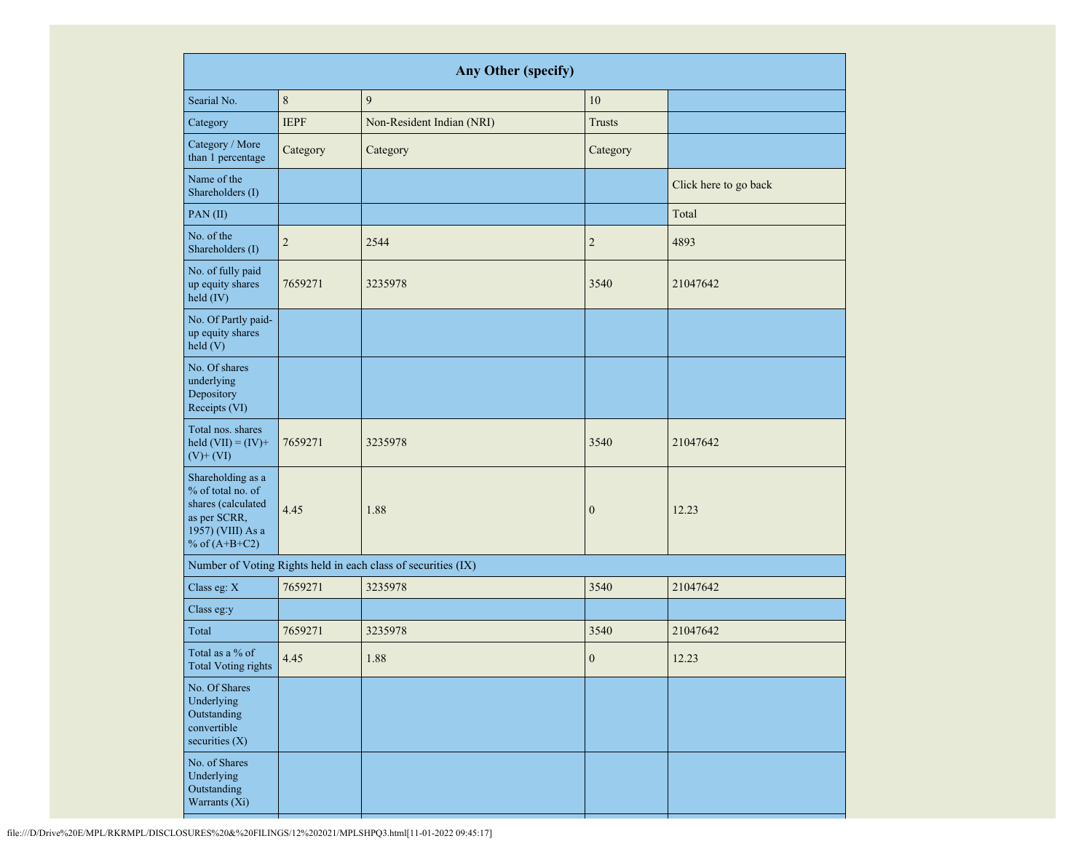| Any Other (specify)                                                                                                  |             |                                                               |                  |                       |  |
|----------------------------------------------------------------------------------------------------------------------|-------------|---------------------------------------------------------------|------------------|-----------------------|--|
| Searial No.                                                                                                          | $\,8\,$     | 9                                                             | $10\,$           |                       |  |
| Category                                                                                                             | <b>IEPF</b> | Non-Resident Indian (NRI)                                     | <b>Trusts</b>    |                       |  |
| Category / More<br>than 1 percentage                                                                                 | Category    | Category                                                      | Category         |                       |  |
| Name of the<br>Shareholders (I)                                                                                      |             |                                                               |                  | Click here to go back |  |
| PAN(II)                                                                                                              |             |                                                               |                  | Total                 |  |
| No. of the<br>Shareholders (I)                                                                                       | $\sqrt{2}$  | 2544                                                          | $\overline{c}$   | 4893                  |  |
| No. of fully paid<br>up equity shares<br>held (IV)                                                                   | 7659271     | 3235978                                                       | 3540             | 21047642              |  |
| No. Of Partly paid-<br>up equity shares<br>held (V)                                                                  |             |                                                               |                  |                       |  |
| No. Of shares<br>underlying<br>Depository<br>Receipts (VI)                                                           |             |                                                               |                  |                       |  |
| Total nos. shares<br>held $(VII) = (IV) +$<br>$(V)$ + $(VI)$                                                         | 7659271     | 3235978                                                       | 3540             | 21047642              |  |
| Shareholding as a<br>% of total no. of<br>shares (calculated<br>as per SCRR,<br>1957) (VIII) As a<br>% of $(A+B+C2)$ | 4.45        | 1.88                                                          | $\boldsymbol{0}$ | 12.23                 |  |
|                                                                                                                      |             | Number of Voting Rights held in each class of securities (IX) |                  |                       |  |
| Class eg: X                                                                                                          | 7659271     | 3235978                                                       | 3540             | 21047642              |  |
| Class eg:y                                                                                                           |             |                                                               |                  |                       |  |
| Total                                                                                                                | 7659271     | 3235978                                                       | 3540             | 21047642              |  |
| Total as a % of<br>Total Voting rights                                                                               | 4.45        | 1.88                                                          | $\boldsymbol{0}$ | 12.23                 |  |
| No. Of Shares<br>Underlying<br>Outstanding<br>convertible<br>securities (X)                                          |             |                                                               |                  |                       |  |
| No. of Shares<br>Underlying<br>Outstanding<br>Warrants (Xi)                                                          |             |                                                               |                  |                       |  |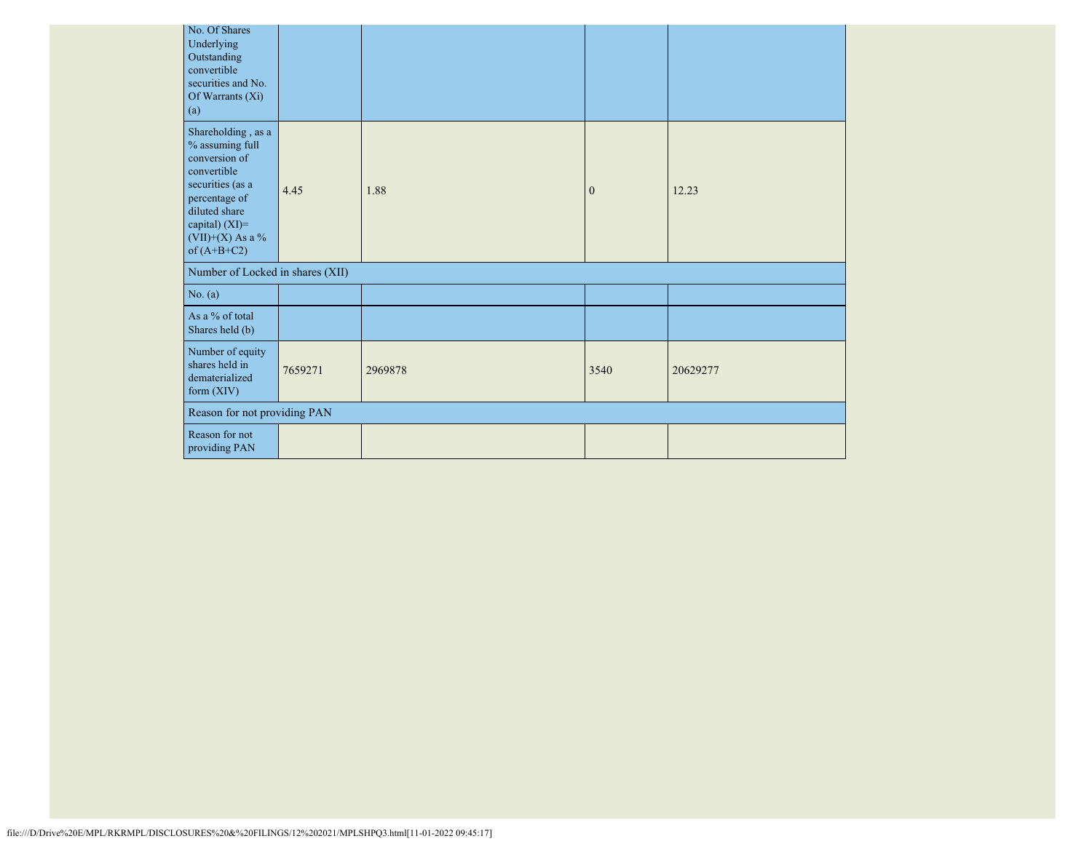| No. Of Shares<br>Underlying<br>Outstanding<br>convertible<br>securities and No.<br>Of Warrants (Xi)<br>(a)                                                                           |         |         |              |          |
|--------------------------------------------------------------------------------------------------------------------------------------------------------------------------------------|---------|---------|--------------|----------|
| Shareholding, as a<br>% assuming full<br>conversion of<br>convertible<br>securities (as a<br>percentage of<br>diluted share<br>capital) (XI)=<br>$(VII)+(X)$ As a %<br>of $(A+B+C2)$ | 4.45    | 1.88    | $\mathbf{0}$ | 12.23    |
| Number of Locked in shares (XII)                                                                                                                                                     |         |         |              |          |
| No. (a)                                                                                                                                                                              |         |         |              |          |
| As a % of total<br>Shares held (b)                                                                                                                                                   |         |         |              |          |
| Number of equity<br>shares held in<br>dematerialized<br>form (XIV)                                                                                                                   | 7659271 | 2969878 | 3540         | 20629277 |
| Reason for not providing PAN                                                                                                                                                         |         |         |              |          |
| Reason for not<br>providing PAN                                                                                                                                                      |         |         |              |          |